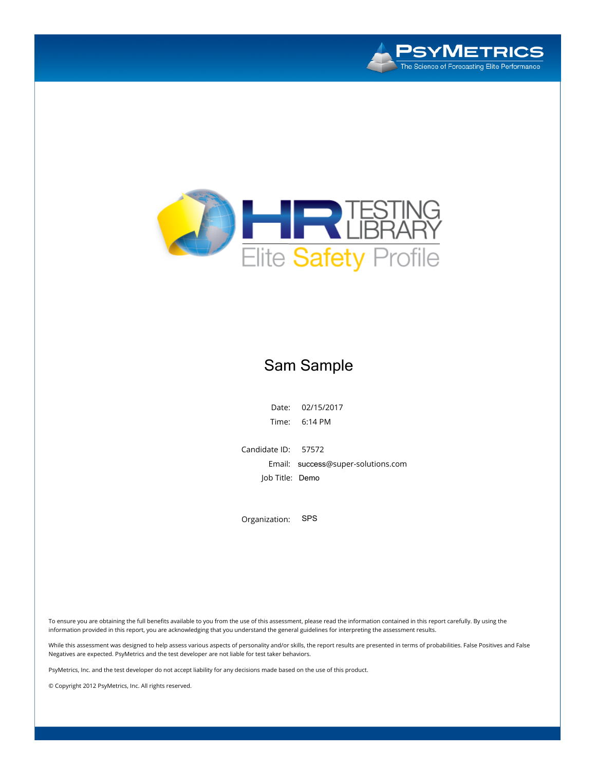



### Sam Sample

**Date: 02/15/2017 Time: 6:14 PM**

**Candidate ID: 57572 Email:**  success**@super-solutions.com Job Title**: Demo

**Organization:** SPS

To ensure you are obtaining the full benefits available to you from the use of this assessment, please read the information contained in this report carefully. By using the information provided in this report, you are acknowledging that you understand the general guidelines for interpreting the assessment results.

While this assessment was designed to help assess various aspects of personality and/or skills, the report results are presented in terms of probabilities. False Positives and False **Negatives are expected. PsyMetrics and the test developer are not liable for test taker behaviors.**

PsyMetrics, Inc. and the test developer do not accept liability for any decisions made based on the use of this product.

**© Copyright 2012 PsyMetrics, Inc. All rights reserved.**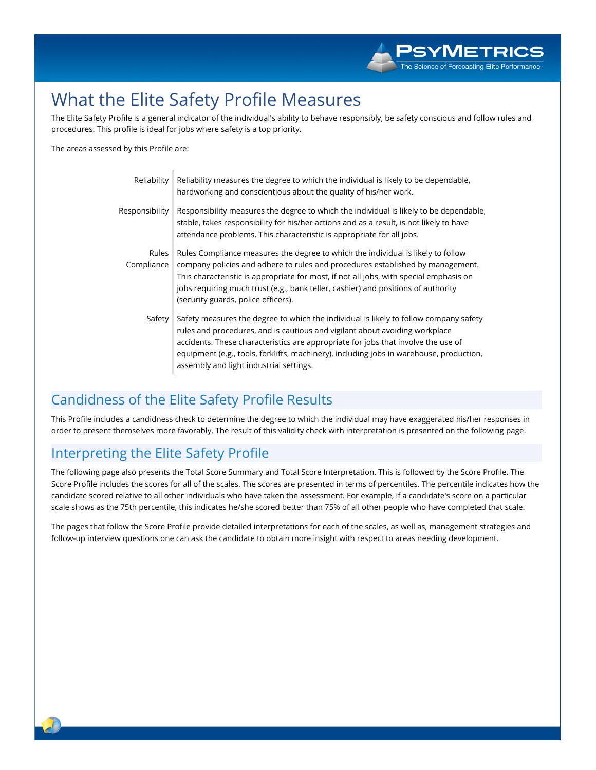# What the Elite Safety Profile Measures

The Elite Safety Profile is a general indicator of the individual's ability to behave responsibly, be safety conscious and follow rules and procedures. This profile is ideal for jobs where safety is a top priority.

The areas assessed by this Profile are:

| Reliability         | Reliability measures the degree to which the individual is likely to be dependable,<br>hardworking and conscientious about the quality of his/her work.                                                                                                                                                                                                                                         |
|---------------------|-------------------------------------------------------------------------------------------------------------------------------------------------------------------------------------------------------------------------------------------------------------------------------------------------------------------------------------------------------------------------------------------------|
| Responsibility      | Responsibility measures the degree to which the individual is likely to be dependable,<br>stable, takes responsibility for his/her actions and as a result, is not likely to have<br>attendance problems. This characteristic is appropriate for all jobs.                                                                                                                                      |
| Rules<br>Compliance | Rules Compliance measures the degree to which the individual is likely to follow<br>company policies and adhere to rules and procedures established by management.<br>This characteristic is appropriate for most, if not all jobs, with special emphasis on<br>jobs requiring much trust (e.g., bank teller, cashier) and positions of authority<br>(security guards, police officers).        |
| Safety              | Safety measures the degree to which the individual is likely to follow company safety<br>rules and procedures, and is cautious and vigilant about avoiding workplace<br>accidents. These characteristics are appropriate for jobs that involve the use of<br>equipment (e.g., tools, forklifts, machinery), including jobs in warehouse, production,<br>assembly and light industrial settings. |

### **Candidness of the Elite Safety Profile Results**

This Profile includes a candidness check to determine the degree to which the individual may have exaggerated his/her responses in order to present themselves more favorably. The result of this validity check with interpretation is presented on the following page.

### Interpreting the Elite Safety Profile

The following page also presents the Total Score Summary and Total Score Interpretation. This is followed by the Score Profile. The Score Profile includes the scores for all of the scales. The scores are presented in terms of percentiles. The percentile indicates how the candidate scored relative to all other individuals who have taken the assessment. For example, if a candidate's score on a particular scale shows as the 75th percentile, this indicates he/she scored better than 75% of all other people who have completed that scale.

The pages that follow the Score Profile provide detailed interpretations for each of the scales, as well as, management strategies and follow-up interview questions one can ask the candidate to obtain more insight with respect to areas needing development.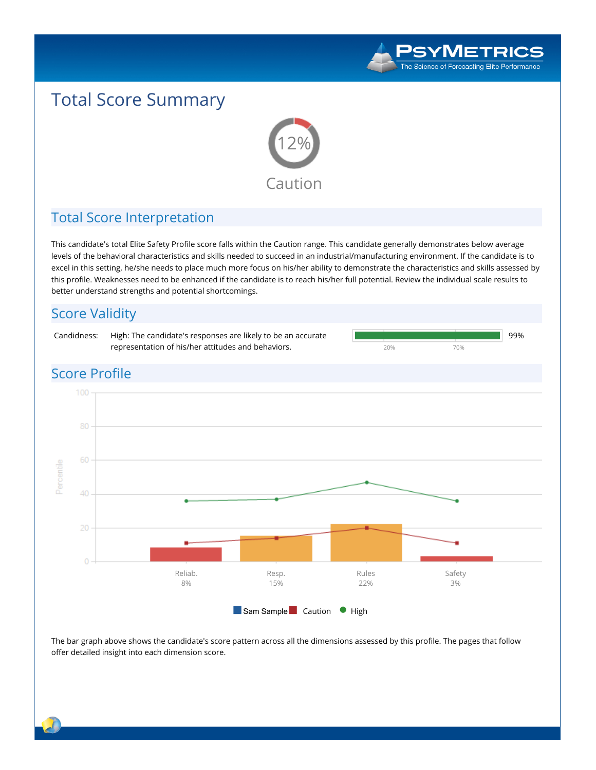

# **Total Score Summary**



### **Total Score Interpretation**

This candidate's total Elite Safety Profile score falls within the Caution range. This candidate generally demonstrates below average levels of the behavioral characteristics and skills needed to succeed in an industrial/manufacturing environment. If the candidate is to excel in this setting, he/she needs to place much more focus on his/her ability to demonstrate the characteristics and skills assessed by this profile. Weaknesses need to be enhanced if the candidate is to reach his/her full potential. Review the individual scale results to **better understand strengths and potential shortcomings.**

### **Score Validity Candidness: High: The candidate's responses are likely to be an accurate 99% representation of his/her attitudes and behaviors. 20% 70% Score Profile** 100 60 Percentile 40 20 **Reliab. Rules Safety Resp. 8% 15% 22% 3%** ■ **Sam Sample** ■ **Caution** ● **High**

The bar graph above shows the candidate's score pattern across all the dimensions assessed by this profile. The pages that follow **offer detailed insight into each dimension score.**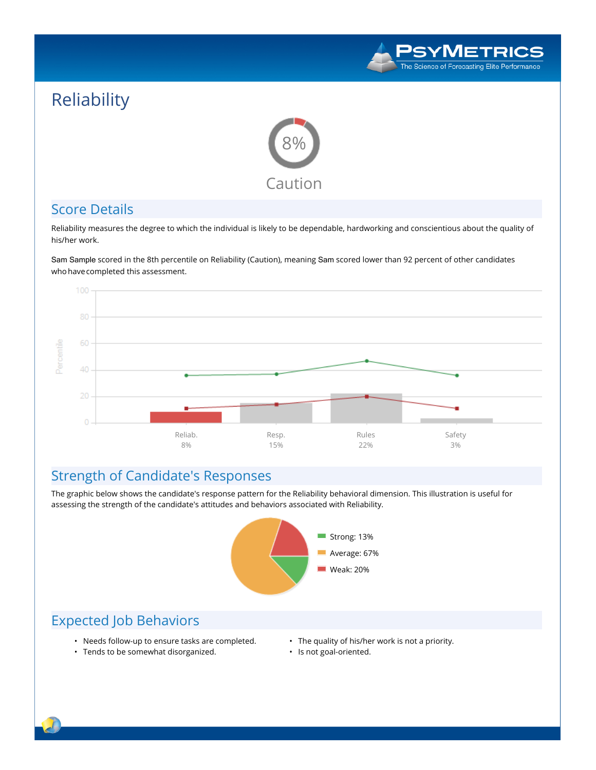

# **Reliability**



#### **Score Details**

Reliability measures the degree to which the individual is likely to be dependable, hardworking and conscientious about the quality of **his/her work.**

Sam Sample **scored in the 8th percentile on Reliability (Caution), meaning** Sam **scored lower than 92 percent of other candidates whohavecompleted this assessment.**



### **Strength of Candidate's Responses**

The graphic below shows the candidate's response pattern for the Reliability behavioral dimension. This illustration is useful for **assessing the strength of the candidate's attitudes and behaviors associated with Reliability.**



- **• Needs follow-up to ensure tasks are completed.**
- **• The quality of his/her work is not a priority.**
- **• Tends to be somewhat disorganized.**
- **• Is not goal-oriented.**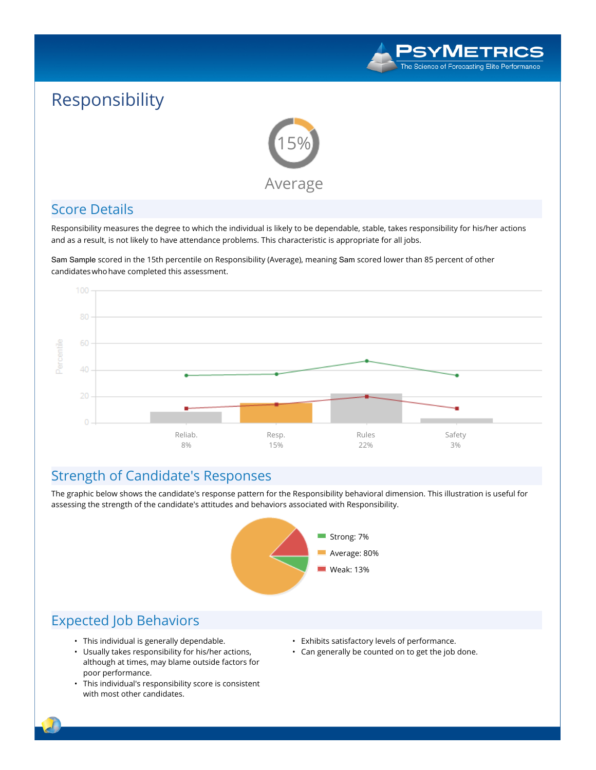

# **Responsibility**



### **Score Details**

Responsibility measures the degree to which the individual is likely to be dependable, stable, takes responsibility for his/her actions and as a result, is not likely to have attendance problems. This characteristic is appropriate for all jobs.

Sam Sample **scored in the 15th percentile on Responsibility (Average), meaning** Sam **scored lower than 85 percent of other candidateswhohave completed this assessment.**



### **Strength of Candidate's Responses**

The graphic below shows the candidate's response pattern for the Responsibility behavioral dimension. This illustration is useful for **assessing the strength of the candidate's attitudes and behaviors associated with Responsibility.**



- **• This individual is generally dependable.**
- **• Usually takes responsibility for his/her actions, although at times, may blame outside factors for poor performance.**
- **• This individual's responsibility score is consistent with most other candidates.**
- **• Exhibits satisfactory levels of performance.**
- **• Can generally be counted on to get the job done.**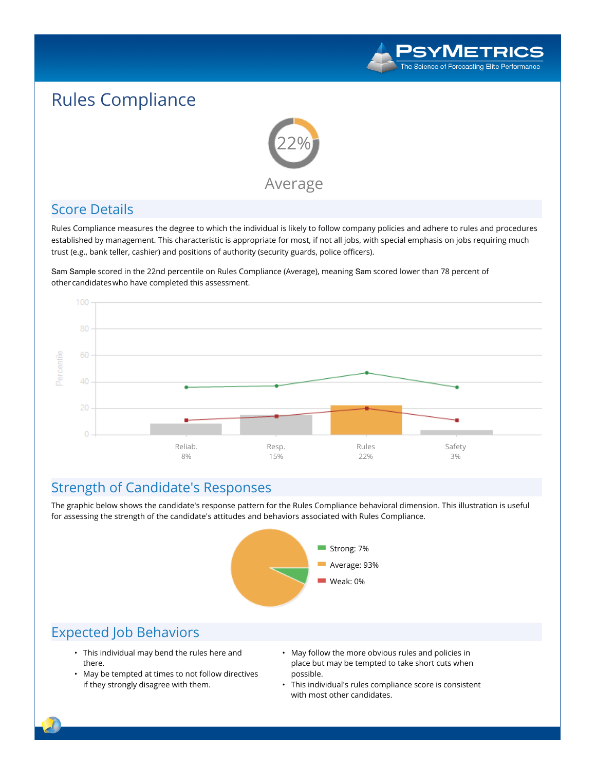

# **Rules Compliance**



### **Score Details**

Rules Compliance measures the degree to which the individual is likely to follow company policies and adhere to rules and procedures established by management. This characteristic is appropriate for most, if not all jobs, with special emphasis on jobs requiring much **trust (e.g., bank teller, cashier) and positions of authority (security guards, police officers).**

Sam Sample **scored in the 22nd percentile on Rules Compliance (Average), meaning** Sam **scored lower than 78 percent of othercandidateswho have completed this assessment.**



### **Strength of Candidate's Responses**

The graphic below shows the candidate's response pattern for the Rules Compliance behavioral dimension. This illustration is useful **for assessing the strength of the candidate's attitudes and behaviors associated with Rules Compliance.**



- **• This individual may bend the rules here and there.**
- **• May be tempted at times to not follow directives if they strongly disagree with them.**
- **• May follow the more obvious rules and policies in place but may be tempted to take short cuts when possible.**
- **• This individual's rules compliance score is consistent with most other candidates.**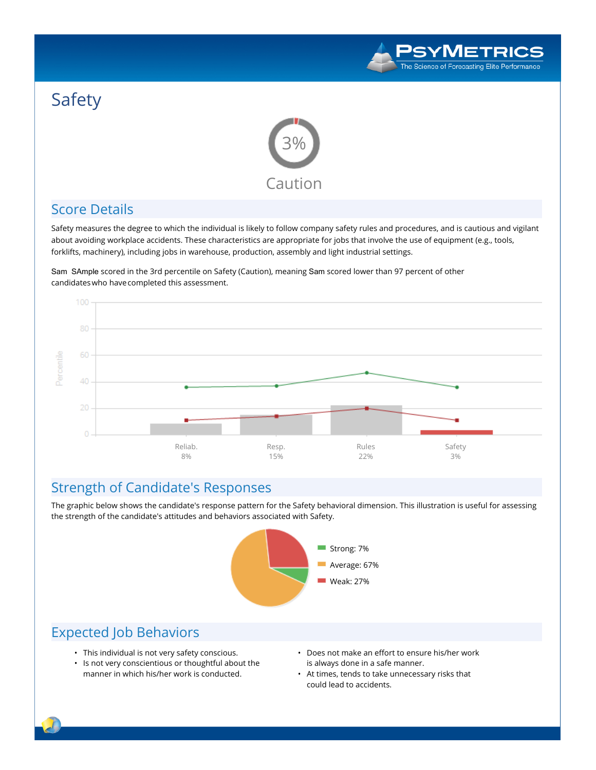

# **Safety**



### **Score Details**

**Safety measures the degree to which the individual is likely to follow company safety rules and procedures, and is cautious and vigilant about avoiding workplace accidents. These characteristics are appropriate for jobs that involve the use of equipment (e.g., tools, forklifts, machinery), including jobs in warehouse, production, assembly and light industrial settings.**

Sam SAmple **scored in the 3rd percentile on Safety (Caution), meaning** Sam **scored lower than 97 percent of other candidateswho havecompleted this assessment.**



### **Strength of Candidate's Responses**

The graphic below shows the candidate's response pattern for the Safety behavioral dimension. This illustration is useful for assessing **the strength of the candidate's attitudes and behaviors associated with Safety.**



- **• This individual is not very safety conscious.**
- **• Is not very conscientious or thoughtful about the manner in which his/her work is conducted.**
- **• Does not make an effort to ensure his/her work is always done in a safe manner.**
- **• At times, tends to take unnecessary risks that could lead to accidents.**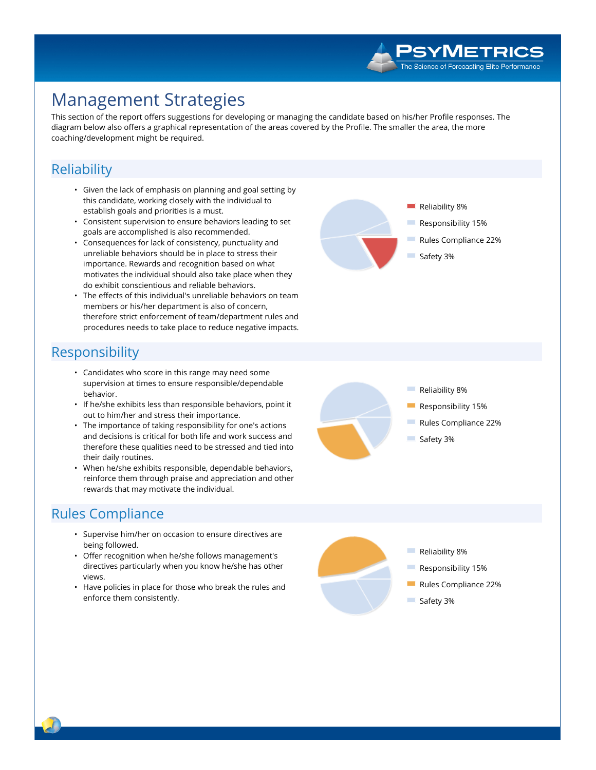

## **Management Strategies**

This section of the report offers suggestions for developing or managing the candidate based on his/her Profile responses. The diagram below also offers a graphical representation of the areas covered by the Profile. The smaller the area, the more coaching/development might be required.

#### Reliability

- Given the lack of emphasis on planning and goal setting by this candidate, working closely with the individual to establish goals and priorities is a must.
- Consistent supervision to ensure behaviors leading to set goals are accomplished is also recommended.
- Consequences for lack of consistency, punctuality and unreliable behaviors should be in place to stress their importance. Rewards and recognition based on what motivates the individual should also take place when they do exhibit conscientious and reliable behaviors.
- The effects of this individual's unreliable behaviors on team members or his/her department is also of concern, therefore strict enforcement of team/department rules and procedures needs to take place to reduce negative impacts.

### Responsibility

- Candidates who score in this range may need some supervision at times to ensure responsible/dependable hehavior.
- If he/she exhibits less than responsible behaviors, point it out to him/her and stress their importance.
- The importance of taking responsibility for one's actions and decisions is critical for both life and work success and therefore these qualities need to be stressed and tied into their daily routines.
- When he/she exhibits responsible, dependable behaviors, reinforce them through praise and appreciation and other rewards that may motivate the individual.

### **Rules Compliance**

- Supervise him/her on occasion to ensure directives are being followed.
- Offer recognition when he/she follows management's directives particularly when you know he/she has other views.
- Have policies in place for those who break the rules and enforce them consistently.







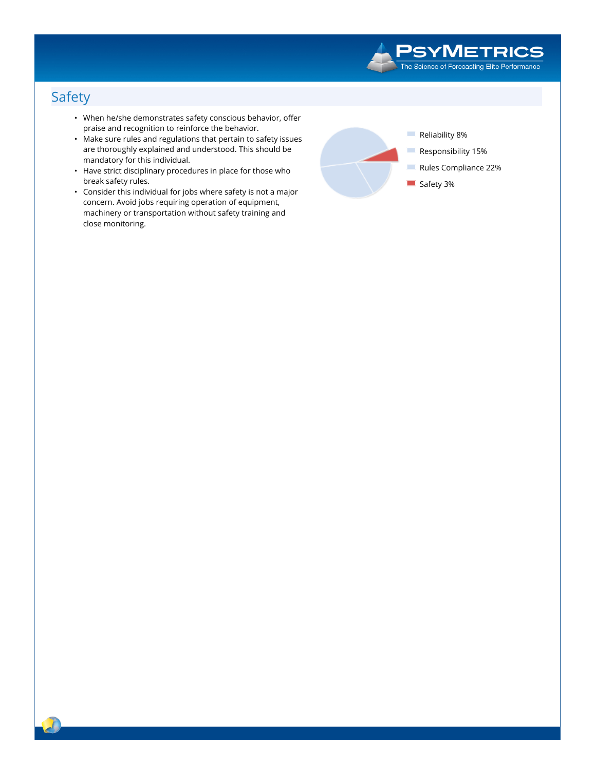

### **Safety**

- When he/she demonstrates safety conscious behavior, offer praise and recognition to reinforce the behavior.
- Make sure rules and regulations that pertain to safety issues are thoroughly explained and understood. This should be mandatory for this individual.
- Have strict disciplinary procedures in place for those who break safety rules.
- Consider this individual for jobs where safety is not a major concern. Avoid jobs requiring operation of equipment, machinery or transportation without safety training and close monitoring.

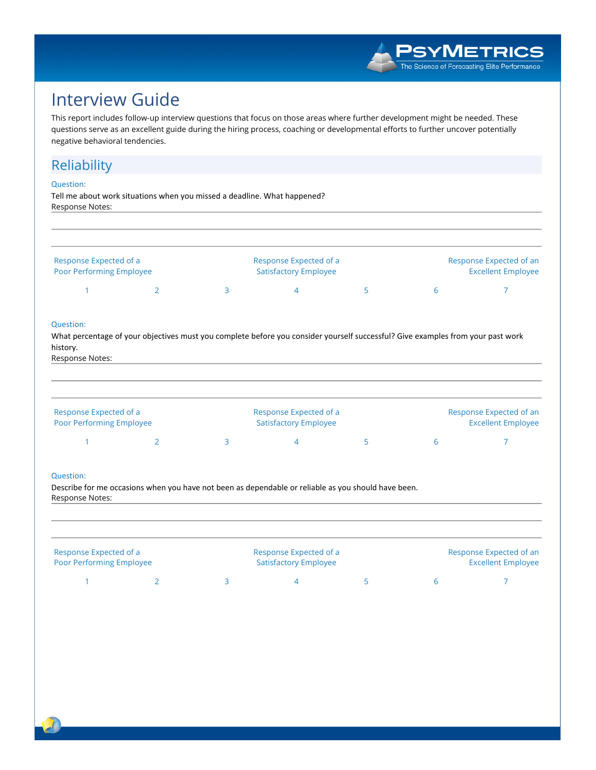

# **Interview Guide**

This report includes follow-up interview questions that focus on those areas where further development might be needed. These questions serve as an excellent guide during the hiring process, coaching or developmental efforts to further uncover potentially negative behavioral tendencies.

#### Reliability

#### **Question:**

Tell me about work situations when you missed a deadline. What happened? Response Notes:

| Response Expected of a   |  | Response Expected of a       |  |  | Response Expected of an   |  |  |
|--------------------------|--|------------------------------|--|--|---------------------------|--|--|
| Poor Performing Employee |  | <b>Satisfactory Employee</b> |  |  | <b>Excellent Employee</b> |  |  |
|                          |  |                              |  |  |                           |  |  |

#### Question:

What percentage of your objectives must you complete before you consider yourself successful? Give examples from your past work history.

Response Notes:

| Response Expected of a<br><b>Poor Performing Employee</b> | Response Expected of a<br><b>Satisfactory Employee</b> |  |  | Response Expected of an<br><b>Excellent Employee</b> |
|-----------------------------------------------------------|--------------------------------------------------------|--|--|------------------------------------------------------|
|                                                           |                                                        |  |  |                                                      |

#### Question:

Describe for me occasions when you have not been as dependable or reliable as you should have been. Response Notes:

| Response Expected of a<br><b>Poor Performing Employee</b> |  | Response Expected of a<br><b>Satisfactory Employee</b> |  |  | Response Expected of an<br><b>Excellent Employee</b> |  |  |
|-----------------------------------------------------------|--|--------------------------------------------------------|--|--|------------------------------------------------------|--|--|
|                                                           |  |                                                        |  |  |                                                      |  |  |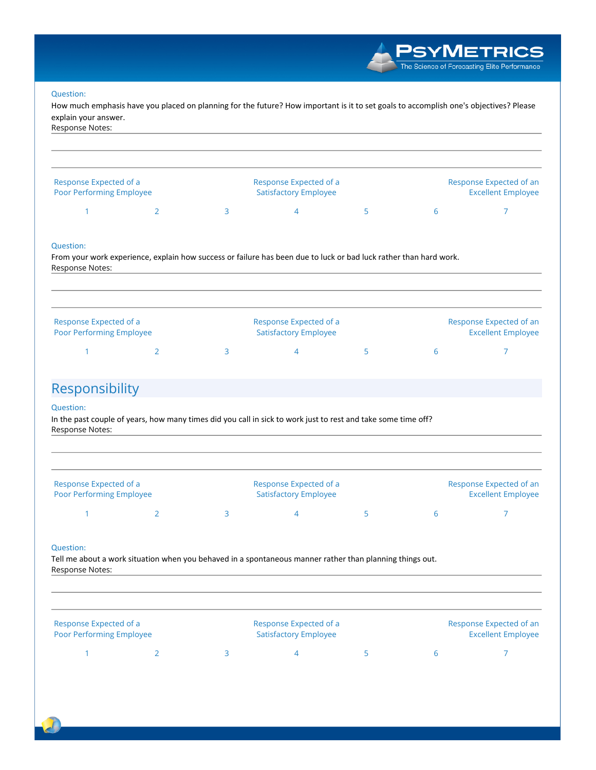#### Question:

How much emphasis have you placed on planning for the future? How important is it to set goals to accomplish one's objectives? Please explain your answer.



#### Question:

From your work experience, explain how success or failure has been due to luck or bad luck rather than hard work. Response Notes:

| Response Expected of a<br><b>Poor Performing Employee</b> |  | Response Expected of a<br><b>Satisfactory Employee</b> |  | Response Expected of an<br><b>Excellent Employee</b> |  |  |
|-----------------------------------------------------------|--|--------------------------------------------------------|--|------------------------------------------------------|--|--|
|                                                           |  |                                                        |  |                                                      |  |  |

### Responsibility

#### Question:

In the past couple of years, how many times did you call in sick to work just to rest and take some time off? Response Notes:

| Response Expected of a<br><b>Poor Performing Employee</b> |  | Response Expected of a<br><b>Satisfactory Employee</b> |  | Response Expected of an<br><b>Excellent Employee</b> |
|-----------------------------------------------------------|--|--------------------------------------------------------|--|------------------------------------------------------|
|                                                           |  |                                                        |  |                                                      |

#### Question:

Tell me about a work situation when you behaved in a spontaneous manner rather than planning things out. Response Notes:

| Response Expected of a<br><b>Poor Performing Employee</b> |  | Response Expected of a<br><b>Satisfactory Employee</b> |  |  | Response Expected of an<br><b>Excellent Employee</b> |  |  |
|-----------------------------------------------------------|--|--------------------------------------------------------|--|--|------------------------------------------------------|--|--|
|                                                           |  |                                                        |  |  |                                                      |  |  |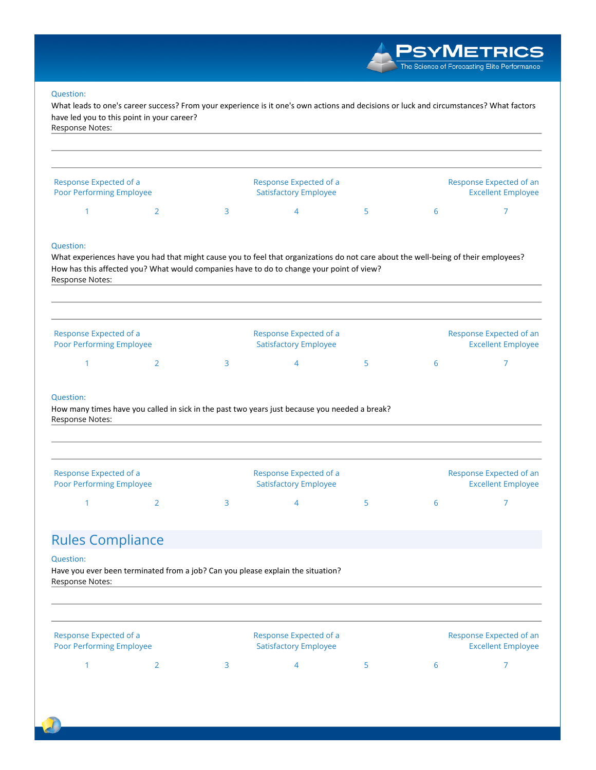**PSYMETRICS** The Science of Forecasting Elite Performance

#### Question:

What leads to one's career success? From your experience is it one's own actions and decisions or luck and circumstances? What factors have led you to this point in your career? Response Notes:

| Response Expected of a<br><b>Poor Performing Employee</b> |  | Response Expected of a<br><b>Satisfactory Employee</b> | Response Expected of an<br><b>Excellent Employee</b> |  |  |
|-----------------------------------------------------------|--|--------------------------------------------------------|------------------------------------------------------|--|--|
|                                                           |  |                                                        |                                                      |  |  |

#### Question:

What experiences have you had that might cause you to feel that organizations do not care about the well-being of their employees? How has this affected you? What would companies have to do to change your point of view? Response Notes:

| Response Expected of a<br><b>Poor Performing Employee</b> |  | Response Expected of a<br><b>Satisfactory Employee</b> |        | Response Expected of an<br><b>Excellent Employee</b> |  |  |
|-----------------------------------------------------------|--|--------------------------------------------------------|--------|------------------------------------------------------|--|--|
|                                                           |  |                                                        | $\sim$ |                                                      |  |  |

#### Question:

How many times have you called in sick in the past two years just because you needed a break? Response Notes:

| Response Expected of a<br><b>Poor Performing Employee</b> |  | Response Expected of a<br><b>Satisfactory Employee</b> |        |  | Response Expected of an<br><b>Excellent Employee</b> |  |  |
|-----------------------------------------------------------|--|--------------------------------------------------------|--------|--|------------------------------------------------------|--|--|
|                                                           |  |                                                        | $\sim$ |  |                                                      |  |  |

### **Rules Compliance**

#### Question:

Have you ever been terminated from a job? Can you please explain the situation? Response Notes:

| Response Expected of a          |  | Response Expected of a       |  |  | Response Expected of an   |  |  |
|---------------------------------|--|------------------------------|--|--|---------------------------|--|--|
| <b>Poor Performing Employee</b> |  | <b>Satisfactory Employee</b> |  |  | <b>Excellent Employee</b> |  |  |
|                                 |  |                              |  |  |                           |  |  |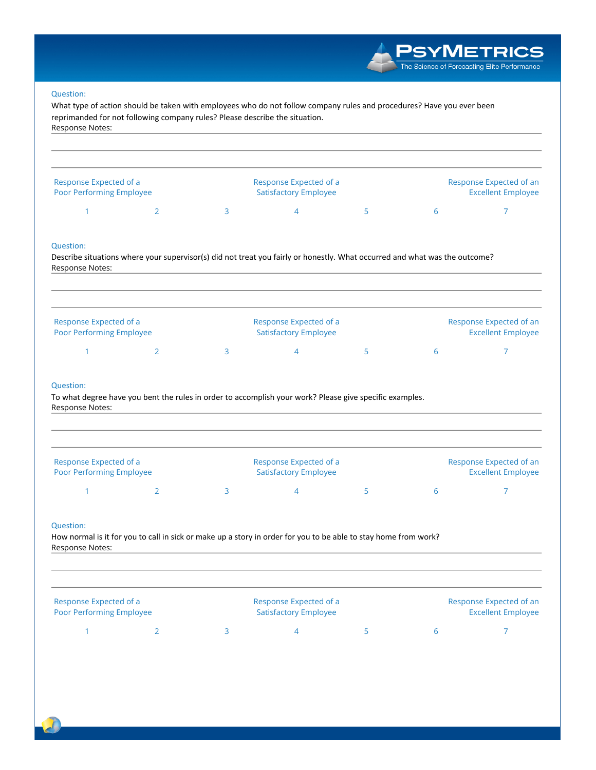

#### **Question:**

What type of action should be taken with employees who do not follow company rules and procedures? Have you ever been reprimanded for not following company rules? Please describe the situation. Response Notes:

| Response Expected of a<br>Poor Performing Employee |  | Response Expected of a<br><b>Satisfactory Employee</b> |  | Response Expected of an<br><b>Excellent Employee</b> |  |
|----------------------------------------------------|--|--------------------------------------------------------|--|------------------------------------------------------|--|
|                                                    |  |                                                        |  |                                                      |  |

#### Question:

Describe situations where your supervisor(s) did not treat you fairly or honestly. What occurred and what was the outcome? Response Notes:

| Response Expected of a<br><b>Poor Performing Employee</b> |  | Response Expected of a<br><b>Satisfactory Employee</b> |  | Response Expected of an<br><b>Excellent Employee</b> |
|-----------------------------------------------------------|--|--------------------------------------------------------|--|------------------------------------------------------|
|                                                           |  |                                                        |  |                                                      |

#### Question:

To what degree have you bent the rules in order to accomplish your work? Please give specific examples. Response Notes:

| Response Expected of a<br><b>Poor Performing Employee</b> |  | Response Expected of a<br><b>Satisfactory Employee</b> |  | Response Expected of an<br><b>Excellent Employee</b> |
|-----------------------------------------------------------|--|--------------------------------------------------------|--|------------------------------------------------------|
|                                                           |  |                                                        |  |                                                      |

#### Question:

How normal is it for you to call in sick or make up a story in order for you to be able to stay home from work? Response Notes:

| Response Expected of a<br>Poor Performing Employee |  | Response Expected of a<br><b>Satisfactory Employee</b> |  | Response Expected of an<br><b>Excellent Employee</b> |
|----------------------------------------------------|--|--------------------------------------------------------|--|------------------------------------------------------|
|                                                    |  |                                                        |  |                                                      |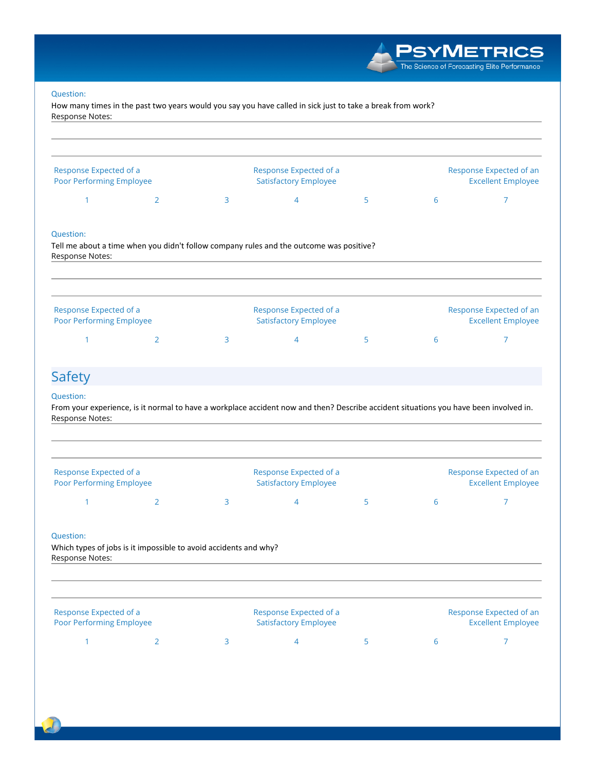#### Question:

How many times in the past two years would you say you have called in sick just to take a break from work? Response Notes:

| Response Expected of a<br><b>Poor Performing Employee</b>                                                       |                                                                                                                                       |   | Response Expected of a<br><b>Satisfactory Employee</b> |   |   | Response Expected of an<br><b>Excellent Employee</b> |  |
|-----------------------------------------------------------------------------------------------------------------|---------------------------------------------------------------------------------------------------------------------------------------|---|--------------------------------------------------------|---|---|------------------------------------------------------|--|
| 1                                                                                                               | $\overline{2}$                                                                                                                        | 3 | $\overline{4}$                                         | 5 | 6 | 7                                                    |  |
| Question:<br>Response Notes:                                                                                    | Tell me about a time when you didn't follow company rules and the outcome was positive?                                               |   |                                                        |   |   |                                                      |  |
| Response Expected of a<br>Poor Performing Employee                                                              |                                                                                                                                       |   | Response Expected of a<br><b>Satisfactory Employee</b> |   |   | Response Expected of an<br><b>Excellent Employee</b> |  |
| 1                                                                                                               | $\overline{2}$                                                                                                                        | 3 | 4                                                      | 5 | 6 | 7                                                    |  |
|                                                                                                                 |                                                                                                                                       |   |                                                        |   |   |                                                      |  |
|                                                                                                                 | From your experience, is it normal to have a workplace accident now and then? Describe accident situations you have been involved in. |   |                                                        |   |   |                                                      |  |
|                                                                                                                 |                                                                                                                                       |   | Response Expected of a<br><b>Satisfactory Employee</b> |   |   | Response Expected of an<br><b>Excellent Employee</b> |  |
| <b>Safety</b><br><b>Question:</b><br>Response Notes:<br>Response Expected of a<br>Poor Performing Employee<br>1 | $\overline{2}$                                                                                                                        | 3 | 4                                                      | 5 | 6 | $\overline{7}$                                       |  |
|                                                                                                                 | Which types of jobs is it impossible to avoid accidents and why?                                                                      |   |                                                        |   |   |                                                      |  |
| <b>Question:</b><br>Response Notes:<br>Response Expected of a<br>Poor Performing Employee                       |                                                                                                                                       |   | Response Expected of a<br><b>Satisfactory Employee</b> |   |   | Response Expected of an<br><b>Excellent Employee</b> |  |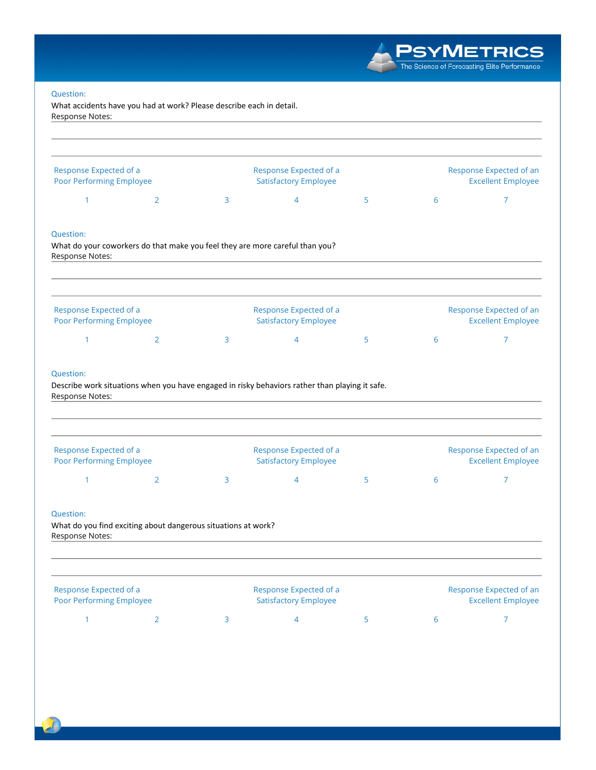# **PSYMETRICS**<br>The Science of Forecasting Elite Performance

#### Question:

What accidents have you had at work? Please describe each in detail. Response Notes:

| Response Expected of a<br>Poor Performing Employee        |                                                               |   | Response Expected of a<br><b>Satisfactory Employee</b>                                         |   | Response Expected of an<br><b>Excellent Employee</b> |                                                      |
|-----------------------------------------------------------|---------------------------------------------------------------|---|------------------------------------------------------------------------------------------------|---|------------------------------------------------------|------------------------------------------------------|
| $\mathbf{1}$                                              | $\overline{2}$                                                | 3 | 4                                                                                              | 5 | 6                                                    | 7                                                    |
| <b>Question:</b><br>Response Notes:                       |                                                               |   | What do your coworkers do that make you feel they are more careful than you?                   |   |                                                      |                                                      |
| Response Expected of a<br><b>Poor Performing Employee</b> |                                                               |   | Response Expected of a<br><b>Satisfactory Employee</b>                                         |   |                                                      | Response Expected of an<br><b>Excellent Employee</b> |
| $\mathbf{1}$                                              | $\overline{2}$                                                | 3 | 4                                                                                              | 5 | 6                                                    | 7                                                    |
| <b>Question:</b><br>Response Notes:                       |                                                               |   | Describe work situations when you have engaged in risky behaviors rather than playing it safe. |   |                                                      |                                                      |
| Response Expected of a                                    |                                                               |   | Response Expected of a                                                                         |   |                                                      | Response Expected of an                              |
| <b>Poor Performing Employee</b><br>$\mathbf{1}$           | $\overline{2}$                                                | 3 | <b>Satisfactory Employee</b><br>$\overline{4}$                                                 | 5 | 6                                                    | <b>Excellent Employee</b><br>7                       |
| <b>Question:</b><br>Response Notes:                       | What do you find exciting about dangerous situations at work? |   |                                                                                                |   |                                                      |                                                      |
| Response Expected of a<br>Poor Performing Employee        |                                                               |   | Response Expected of a<br><b>Satisfactory Employee</b>                                         |   |                                                      | Response Expected of an<br><b>Excellent Employee</b> |